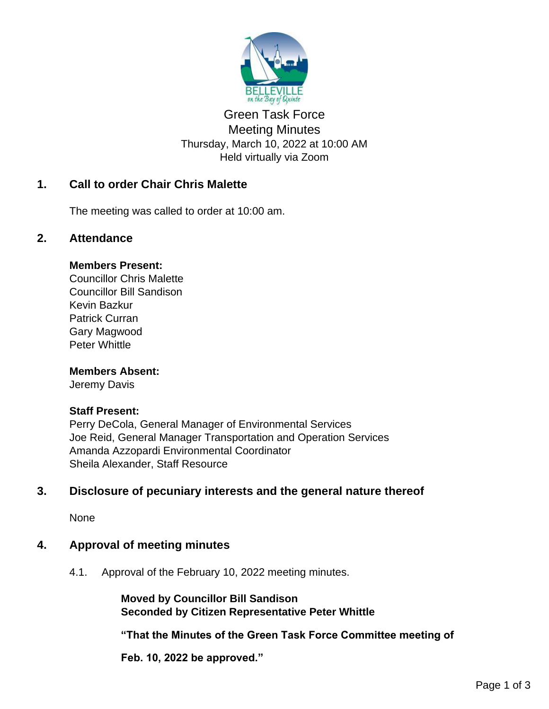

# Green Task Force Meeting Minutes Thursday, March 10, 2022 at 10:00 AM Held virtually via Zoom

# **1. Call to order Chair Chris Malette**

The meeting was called to order at 10:00 am.

# **2. Attendance**

## **Members Present:**

Councillor Chris Malette Councillor Bill Sandison Kevin Bazkur Patrick Curran Gary Magwood Peter Whittle

## **Members Absent:**

Jeremy Davis

## **Staff Present:**

Perry DeCola, General Manager of Environmental Services Joe Reid, General Manager Transportation and Operation Services Amanda Azzopardi Environmental Coordinator Sheila Alexander, Staff Resource

# **3. Disclosure of pecuniary interests and the general nature thereof**

None

# **4. Approval of meeting minutes**

4.1. Approval of the February 10, 2022 meeting minutes.

**Moved by Councillor Bill Sandison Seconded by Citizen Representative Peter Whittle**

**"That the Minutes of the Green Task Force Committee meeting of** 

**Feb. 10, 2022 be approved."**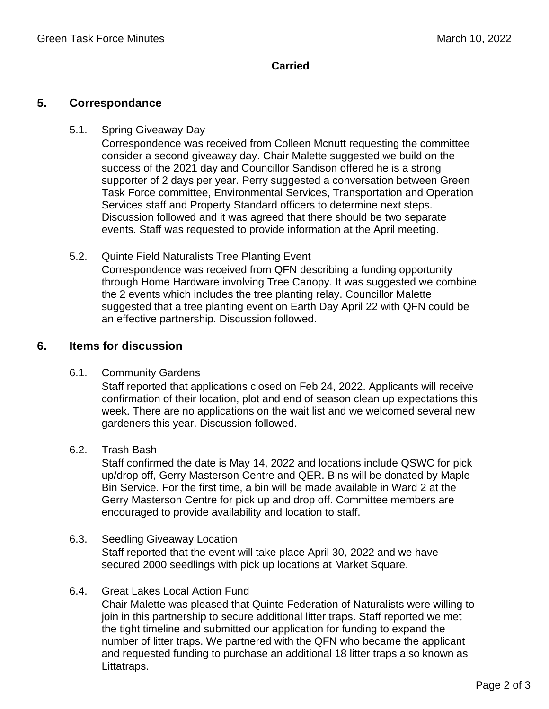# **Carried**

# **5. Correspondance**

#### 5.1. Spring Giveaway Day

Correspondence was received from Colleen Mcnutt requesting the committee consider a second giveaway day. Chair Malette suggested we build on the success of the 2021 day and Councillor Sandison offered he is a strong supporter of 2 days per year. Perry suggested a conversation between Green Task Force committee, Environmental Services, Transportation and Operation Services staff and Property Standard officers to determine next steps. Discussion followed and it was agreed that there should be two separate events. Staff was requested to provide information at the April meeting.

5.2. Quinte Field Naturalists Tree Planting Event Correspondence was received from QFN describing a funding opportunity through Home Hardware involving Tree Canopy. It was suggested we combine the 2 events which includes the tree planting relay. Councillor Malette suggested that a tree planting event on Earth Day April 22 with QFN could be an effective partnership. Discussion followed.

# **6. Items for discussion**

## 6.1. Community Gardens

Staff reported that applications closed on Feb 24, 2022. Applicants will receive confirmation of their location, plot and end of season clean up expectations this week. There are no applications on the wait list and we welcomed several new gardeners this year. Discussion followed.

6.2. Trash Bash

Staff confirmed the date is May 14, 2022 and locations include QSWC for pick up/drop off, Gerry Masterson Centre and QER. Bins will be donated by Maple Bin Service. For the first time, a bin will be made available in Ward 2 at the Gerry Masterson Centre for pick up and drop off. Committee members are encouraged to provide availability and location to staff.

#### 6.3. Seedling Giveaway Location

Staff reported that the event will take place April 30, 2022 and we have secured 2000 seedlings with pick up locations at Market Square.

## 6.4. Great Lakes Local Action Fund

Chair Malette was pleased that Quinte Federation of Naturalists were willing to join in this partnership to secure additional litter traps. Staff reported we met the tight timeline and submitted our application for funding to expand the number of litter traps. We partnered with the QFN who became the applicant and requested funding to purchase an additional 18 litter traps also known as Littatraps.